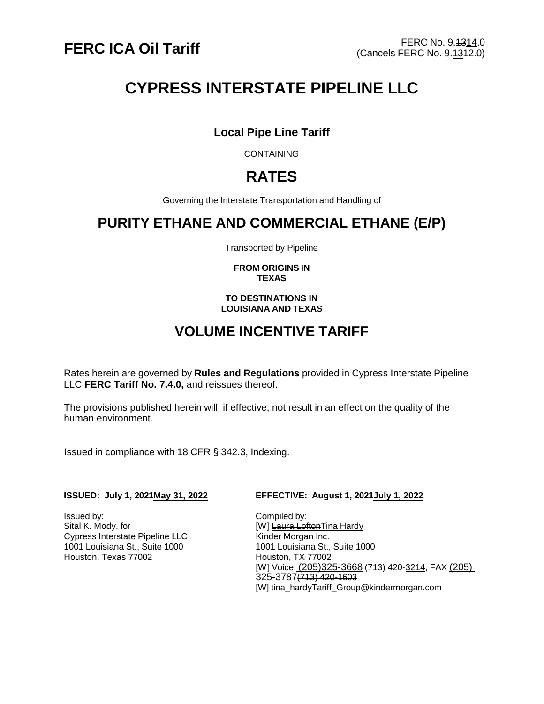# **CYPRESS INTERSTATE PIPELINE LLC**

## **Local Pipe Line Tariff**

**CONTAINING** 

## **RATES**

Governing the Interstate Transportation and Handling of

## **PURITY ETHANE AND COMMERCIAL ETHANE (E/P)**

Transported by Pipeline

#### **FROM ORIGINS IN TEXAS**

#### **TO DESTINATIONS IN LOUISIANA AND TEXAS**

## **VOLUME INCENTIVE TARIFF**

Rates herein are governed by **Rules and Regulations** provided in Cypress Interstate Pipeline LLC **FERC Tariff No. 7.4.0,** and reissues thereof.

The provisions published herein will, if effective, not result in an effect on the quality of the human environment.

Issued in compliance with 18 CFR § 342.3, Indexing.

Issued by: Compiled by: Cypress Interstate Pipeline LLC Kinder Morgan Inc. 1001 Louisiana St., Suite 1000 1001 Louisiana St., Suite 1000 Houston, Texas 77002 Houston, TX 77002

#### **ISSUED: July 1, 2021May 31, 2022 EFFECTIVE: August 1, 2021July 1, 2022**

[W] Laura LoftonTina Hardy [W] Voice: (205)325-3668 (713) 420-3214; FAX (205) 325-3787(713) 420-1603 [W] [tina\\_hardyTariff\\_Group@kindermorgan.com](mailto:tina_hardy@kindermorgan.com)